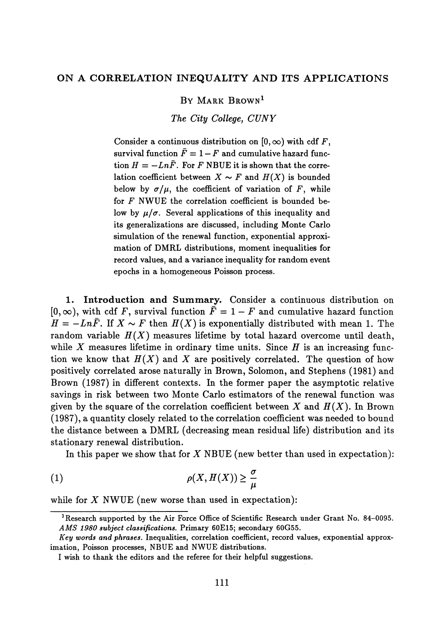BY MARK BROWN<sup>1</sup>

*The City College, CUNY*

Consider a continuous distribution on  $[0, \infty)$  with cdf F, survival function  $\bar{F} = 1 - F$  and cumulative hazard function  $H = -Ln\bar{F}$ . For *F* NBUE it is shown that the correlation coefficient between  $X \sim F$  and  $H(X)$  is bounded below by  $\sigma/\mu$ , the coefficient of variation of F, while for *F* NWUE the correlation coefficient is bounded be low by  $\mu/\sigma$ . Several applications of this inequality and its generalizations are discussed, including Monte Carlo simulation of the renewal function, exponential approxi mation of DMRL distributions, moment inequalities for record values, and a variance inequality for random event epochs in a homogeneous Poisson process.

**1. Introduction and Summary.** Consider a continuous distribution on  $[0,\infty)$ , with cdf F, survival function  $\overline{F} = 1 - F$  and cumulative hazard function  $H = -Ln\bar{F}$ . If  $X \sim F$  then  $H(X)$  is exponentially distributed with mean 1. The random variable  $H(X)$  measures lifetime by total hazard overcome until death, while  $X$  measures lifetime in ordinary time units. Since  $H$  is an increasing function we know that *H(X)* and *X* are positively correlated. The question of how positively correlated arose naturally in Brown, Solomon, and Stephens (1981) and Brown (1987) in different contexts. In the former paper the asymptotic relative savings in risk between two Monte Carlo estimators of the renewal function was given by the square of the correlation coefficient between *X* and *Π(X).* In Brown (1987), a quantity closely related to the correlation coefficient was needed to bound the distance between a DMRL (decreasing mean residual life) distribution and its stationary renewal distribution.

In this paper we show that for *X* NBUE (new better than used in expectation):

$$
\rho(X, H(X)) \ge \frac{\sigma}{\mu}
$$

while for *X* NWUE (new worse than used in expectation):

**<sup>1</sup> Research supported by the Air Force Office of Scientific Research under Grant No. 84-0095.** *AMS 1980 subject classifications.* **Primary 60E15; secondary 60G55.**

*Key words and phrases.* **Inequalities, correlation coefficient, record values, exponential approx imation, Poisson processes, NBUE and NWUE distributions.**

**I wish to thank the editors and the referee for their helpful suggestions.**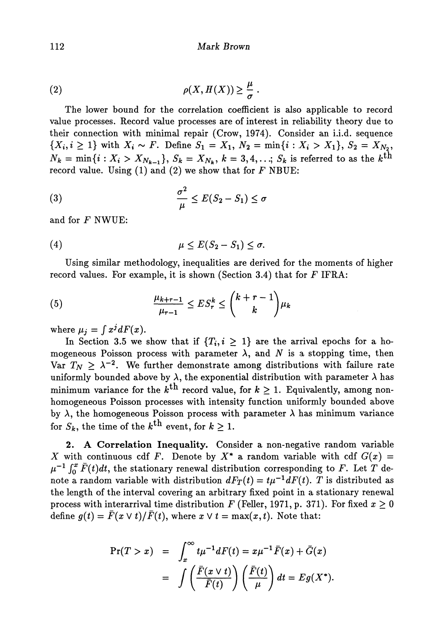(2) 
$$
\rho(X, H(X)) \geq \frac{\mu}{\sigma}.
$$

The lower bound for the correlation coefficient is also applicable to record value processes. Record value processes are of interest in reliability theory due to their connection with minimal repair (Crow, 1974). Consider an i.i.d. sequence  $\{X_i, i \geq 1\}$  with  $X_i \sim F$ . Define  $S_1 = X_1, N_2 = \min\{i: X_i > X_1\}, S_2 = X_{N_2},$  $N_k = \min\{i : X_i > X_{N_{k-1}}\}, S_k = X_{N_k}, k = 3, 4, \ldots; S_k$  is referred to as the  $k^{\text{th}}$ record value. Using (1) and (2) we show that for *F* NBUE:

(3) 
$$
\frac{\sigma^2}{\mu} \le E(S_2 - S_1) \le \sigma
$$

and for *F* NWUE:

$$
\mu \leq E(S_2 - S_1) \leq \sigma.
$$

Using similar methodology, inequalities are derived for the moments of higher record values. For example, it is shown (Section 3.4) that for *F* IFRA:

(5) 
$$
\frac{\mu_{k+r-1}}{\mu_{r-1}} \le ES_r^k \le \binom{k+r-1}{k} \mu_k
$$

where  $\mu_i = \int x^j dF(x)$ .

In Section 3.5 we show that if  $\{T_i, i \geq 1\}$  are the arrival epochs for a ho mogeneous Poisson process with parameter  $\lambda$ , and N is a stopping time, then Var  $T_N \geq \lambda^{-2}$ . We further demonstrate among distributions with failure rate uniformly bounded above by  $\lambda$ , the exponential distribution with parameter  $\lambda$  has minimum variance for the  $k^{\text{th}}$  record value, for  $k\geq 1.$  Equivalently, among non homogeneous Poisson processes with intensity function uniformly bounded above by  $\lambda$ , the homogeneous Poisson process with parameter  $\lambda$  has minimum variance for  $S_k$ , the time of the  $k^{\text{th}}$  event, for  $k > 1$ .

**2. A Correlation Inequality.** Consider a non-negative random variable *X* with continuous cdf *F*. Denote by  $X^*$  a random variable with cdf  $G(x)$  =  $\mu^{-1}\int_0^x \bar{F}(t)dt$ , the stationary renewal distribution corresponding to F. Let T de note a random variable with distribution  $dF_T(t) = t\mu^{-1}dF(t)$ . T is distributed as the length of the interval covering an arbitrary fixed point in a stationary renewal process with interarrival time distribution F (Feller, 1971, p. 371). For fixed  $x \geq 0$ define  $g(t) = \bar{F}(x \vee t)/\bar{F}(t)$ , where  $x \vee t = \max(x, t)$ . Note that:

$$
\begin{array}{rcl}\n\Pr(T > x) & = & \int_x^\infty t \mu^{-1} dF(t) = x \mu^{-1} \bar{F}(x) + \bar{G}(x) \\
& = & \int \left( \frac{\bar{F}(x \vee t)}{\bar{F}(t)} \right) \left( \frac{\bar{F}(t)}{\mu} \right) dt = E g(X^*).\n\end{array}
$$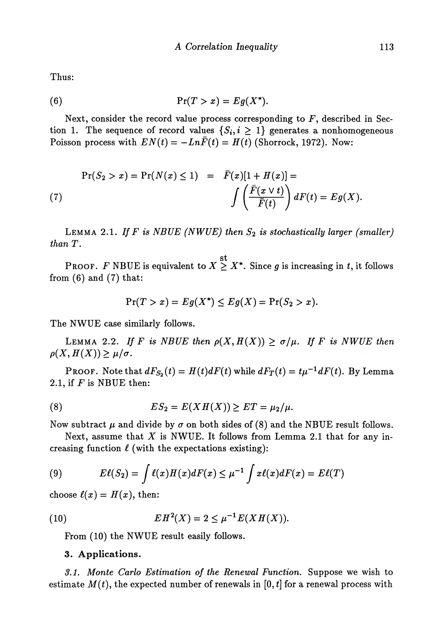Thus:

(6) Pr( > *x)* = *Eg(X\*).*

Next, consider the record value process corresponding to *F,* described in Sec tion 1. The sequence of record values  $\{S_i, i \geq 1\}$  generates a nonhomogeneous Poisson process with  $EN(t) = -Ln\bar{F}(t) = H(t)$  (Shorrock, 1972). Now:

$$
\Pr(S_2 > x) = \Pr(N(x) \le 1) = \overline{F}(x)[1 + H(x)] =
$$
\n
$$
\int \left(\frac{\overline{F}(x \vee t)}{\overline{F}(t)}\right) dF(t) = Eg(X).
$$

LEMMA 2.1. *If F is NBUE (NWUE) then S<sup>2</sup> is stochastically larger (smaller) than T.*

st PROOF.  $F$  NBUE is equivalent to  $X \geq X^*$ . Since  $g$  is increasing in  $t,$  it follows from  $(6)$  and  $(7)$  that:

$$
\Pr(T > x) = Eg(X^*) \le Eg(X) = \Pr(S_2 > x).
$$

The NWUE case similarly follows.

LEMMA 2.2. If F is NBUE then  $\rho(X,H(X)) \geq \sigma/\mu$ . If F is NWUE then  $\rho(X, H(X)) \geq \mu/\sigma$ .

PROOF. Note that  $dF_{S_2}(t) = H(t) dF(t)$  while  $dF_T(t) = t\mu^{-1} dF(t)$ . By Lemma 2.1, if *F* is NBUE then:

(8) 
$$
ES_2 = E(XH(X)) \ge ET = \mu_2/\mu.
$$

Now subtract *μ* and divide by *σ* on both sides of (8) and the NBUE result follows.

Next, assume that *X* is NWUE. It follows from Lemma 2.1 that for any in creasing function *ί* (with the expectations existing):

(9) 
$$
E\ell(S_2) = \int \ell(x)H(x)dF(x) \leq \mu^{-1} \int x\ell(x)dF(x) = E\ell(T)
$$

choose  $\ell(x) = H(x)$ , then:

(10) 
$$
EH^{2}(X) = 2 \leq \mu^{-1} E(XH(X)).
$$

From (10) the NWUE result easily follows.

## 3. Applications.

*3.1. Monte Carlo Estimation of the Renewal Function.* Suppose we wish to estimate  $M(t)$ , the expected number of renewals in [0, t] for a renewal process with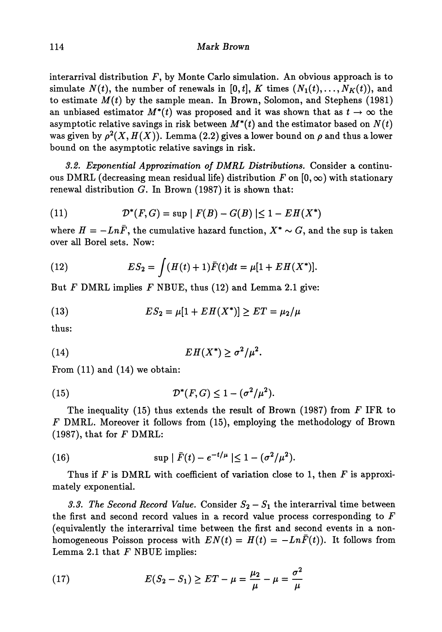interarrival distribution  $F$ , by Monte Carlo simulation. An obvious approach is to simulate  $N(t)$ , the number of renewals in [0, t], K times  $(N_1(t),...,N_K(t))$ , and to estimate  $M(t)$  by the sample mean. In Brown, Solomon, and Stephens (1981) an unbiased estimator  $M^*(t)$  was proposed and it was shown that as  $t \to \infty$  the asymptotic relative savings in risk between  $M^*(t)$  and the estimator based on  $N(t)$ was given by  $\rho^2(X,H(X)).$  Lemma (2.2) gives a lower bound on  $\rho$  and thus a lower bound on the asymptotic relative savings in risk.

*3.2. Exponential Approximation of DMRL Distributions.* Consider a continu ous DMRL (decreasing mean residual life) distribution  $F$  on  $[0,\infty)$  with stationary renewal distribution *G.* In Brown (1987) it is shown that:

(11) 
$$
\mathcal{D}^*(F,G) = \sup |F(B) - G(B)| \le 1 - EH(X^*)
$$

where  $H = -Ln\bar{F}$ , the cumulative hazard function,  $X^* \sim G$ , and the sup is taken over all Borel sets. Now:

(12) 
$$
ES_2 = \int (H(t) + 1)\bar{F}(t)dt = \mu[1 + EH(X^*)].
$$

But *F* DMRL implies *F* NBUE, thus (12) and Lemma 2.1 give:

(13) 
$$
ES_2 = \mu[1 + EH(X^*)] \ge ET = \mu_2/\mu
$$

thus:

(14) *EH(X\*) > σ 2 /μ<sup>2</sup> .*

From (11) and (14) we obtain:

(15) 
$$
\mathcal{D}^*(F,G) \leq 1 - (\sigma^2/\mu^2).
$$

The inequality (15) thus extends the result of Brown (1987) from *F* IFR to *F* DMRL. Moreover it follows from (15), employing the methodology of Brown (1987), that for *F* DMRL:

(16) 
$$
\sup | \bar{F}(t) - e^{-t/\mu} | \leq 1 - (\sigma^2/\mu^2).
$$

Thus if *F* is DMRL with coefficient of variation close to 1, then *F* is approxi mately exponential.

*3.3. The Second Record Value.* Consider  $S_2 - S_1$  the interarrival time between the first and second record values in a record value process corresponding to *F* (equivalently the interarrival time between the first and second events in a non homogeneous Poisson process with  $EN(t) = H(t) = -Ln\bar{F}(t)$ . It follows from Lemma 2.1 that *F* NBUE implies:

(17) 
$$
E(S_2 - S_1) \ge ET - \mu = \frac{\mu_2}{\mu} - \mu = \frac{\sigma^2}{\mu}
$$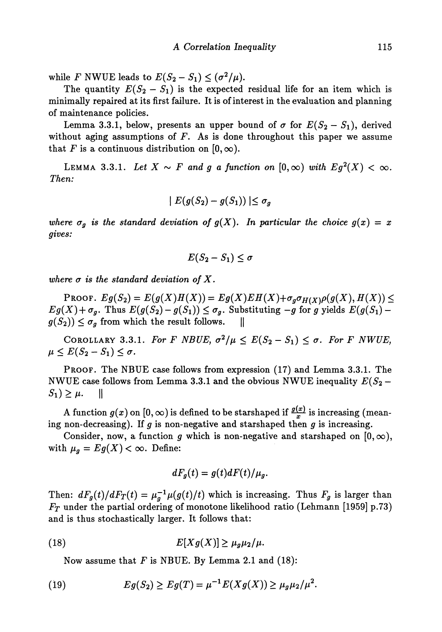while *F* NWUE leads to  $E(S_2 - S_1) \leq (\sigma^2/\mu)$ .

The quantity  $E(S_2 - S_1)$  is the expected residual life for an item which is minimally repaired at its first failure. It is of interest in the evaluation and planning of maintenance policies.

Lemma 3.3.1, below, presents an upper bound of  $\sigma$  for  $E(S_2 - S_1)$ , derived without aging assumptions of *F.* As is done throughout this paper we assume that F is a continuous distribution on  $[0, \infty)$ .

LEMMA 3.3.1. Let  $X \sim F$  and g a function on  $[0, \infty)$  with  $Eg^2(X) < \infty$ . *Then:*

$$
|E(g(S_2) - g(S_1))| \leq \sigma_g
$$

*where*  $\sigma_g$  is the standard deviation of  $g(X)$ . In particular the choice  $g(x) = x$ *gives:*

$$
E(S_2-S_1)\leq \sigma
$$

*where σ is the standard deviation of X.*

PROOF.  $Eg(S_2) = E(g(X)H(X)) = Eg(X)EH(X)+\sigma_g\sigma_{H(X)}\rho(g(X),H(X)) \le$  $Eg(X) + \sigma_g$ . Thus  $E(g(S_2) - g(S_1)) \leq \sigma_g$ . Substituting  $-g$  for *g* yields  $E(g(S_1) - g(S_2))$  $g(S_2)$ )  $\leq \sigma_g$  from which the result follows.  $\parallel$ 

COROLLARY 3.3.1. For F NBUE,  $\sigma^2/\mu \leq E(S_2 - S_1) \leq \sigma$ . For F NWUE,  $\mu \leq E(S_2 - S_1) \leq \sigma.$ 

PROOF. The NBUE case follows from expression (17) and Lemma 3.3.1. The NWUE case follows from Lemma 3.3.1 and the obvious NWUE inequality  $E(S_2 S_1$ )  $\geq \mu$ . ||

A function  $g(x)$  on  $[0, \infty)$  is defined to be starshaped if  $\frac{g(x)}{x}$  is increasing (meaning non-decreasing). If *g* is non-negative and starshaped then *g* is increasing.

Consider, now, a function g which is non-negative and starshaped on  $[0,\infty)$ , with  $\mu_g = Eg(X) < \infty$ . Define:

$$
dF_g(t) = g(t) dF(t)/\mu_g.
$$

Then:  $dF_g(t)/dF_T(t) = \mu_g^{-1}\mu(g(t)/t)$  which is increasing. Thus  $F_g$  is larger than *FT* under the partial ordering of monotone likelihood ratio (Lehmann [1959] p.73) and is thus stochastically larger. It follows that:

(18) 
$$
E[Xg(X)] \geq \mu_g \mu_2/\mu.
$$

Now assume that *F* is NBUE. By Lemma 2.1 and (18):

(19) 
$$
Eg(S_2) \ge Eg(T) = \mu^{-1}E(Xg(X)) \ge \mu_g \mu_2/\mu^2.
$$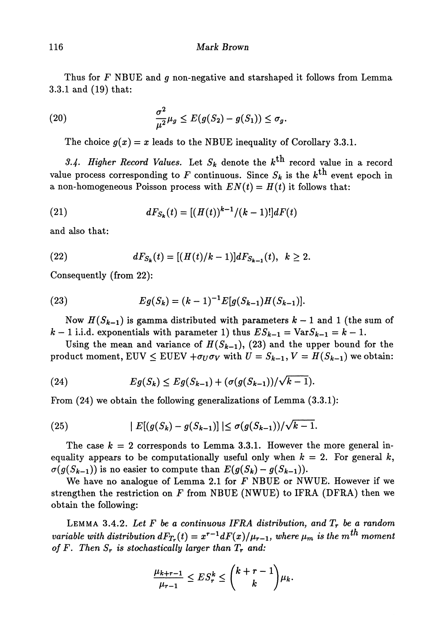## 116 *Mark Brown*

Thus for *F* NBUE and *g* non-negative and starshaped it follows from Lemma 3.3.1 and (19) that:

(20) 
$$
\frac{\sigma^2}{\mu^2}\mu_g \leq E(g(S_2)-g(S_1)) \leq \sigma_g.
$$

The choice  $g(x) = x$  leads to the NBUE inequality of Corollary 3.3.1.

*3.4- Higher Record Values.* Let *Sk* denote the *k™* record value in a record value process corresponding to  $F$  continuous. Since  $S_k$  is the  $k^{\text{th}}$  event epoch in a non-homogeneous Poisson process with  $EN(t) = H(t)$  it follows that:

(21) 
$$
dF_{S_k}(t) = [(H(t))^{k-1}/(k-1)!]dF(t)
$$

and also that:

(22) 
$$
dF_{S_k}(t) = [(H(t)/k-1)]dF_{S_{k-1}}(t), k \ge 2.
$$

Consequently (from 22):

(23) 
$$
Eg(S_k) = (k-1)^{-1}E[g(S_{k-1})H(S_{k-1})].
$$

Now  $H(S_{k-1})$  is gamma distributed with parameters  $k-1$  and 1 (the sum of  $k-1$  i.i.d. exponentials with parameter 1) thus  $ES_{k-1} = Var S_{k-1} = k-1$ .

Using the mean and variance of  $H(S_{k-1})$ , (23) and the upper bound for the product moment,  $\text{EUV} \leq \text{EUEV} + \sigma_U \sigma_V$  with  $U = S_{k-1}$ ,  $V = H(S_{k-1})$  we obtain:

(24) 
$$
Eg(S_k) \le Eg(S_{k-1}) + (\sigma(g(S_{k-1}))/\sqrt{k-1}).
$$

From (24) we obtain the following generalizations of Lemma (3.3.1):

(25) 
$$
|E[(g(S_k) - g(S_{k-1})] | \leq \sigma(g(S_{k-1})) / \sqrt{k-1}.
$$

The case  $k = 2$  corresponds to Lemma 3.3.1. However the more general inequality appears to be computationally useful only when  $k = 2$ . For general k,  $\sigma(g(S_{k-1}))$  is no easier to compute than  $E(g(S_k) - g(S_{k-1}))$ .

We have no analogue of Lemma 2.1 for *F* NBUE or NWUE. However if we strengthen the restriction on *F* from NBUE (NWUE) to IFRA (DFRA) then we obtain the following:

LEMMA 3.4.2. *Let F be a continuous IFRA distribution, and T<sup>r</sup> be a random*  $\Delta x$  *variable with distribution*  $dF_{T_r}(t) = x^{r-1} dF(x)/\mu_{r-1}$ *, where*  $\mu_m$  *is the*  $m^{th}$  *moment of F. Then S<sup>r</sup> is stochastically larger than T<sup>r</sup> and:*

$$
\frac{\mu_{k+r-1}}{\mu_{r-1}} \le ES_r^k \le \binom{k+r-1}{k} \mu_k.
$$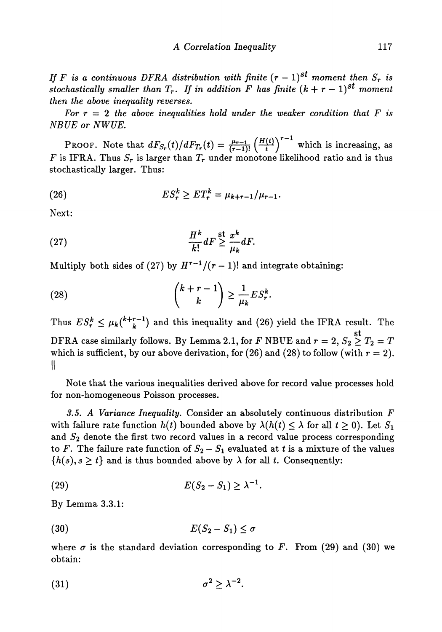*If*  $F$  is a continuous DFRA distribution with finite  $(r-1)^{st}$  moment then  $S_r$  is *stochastically smaller than*  $T_r$ . If in addition  $F$  has finite  $(k + r - 1)^{st}$  moment *then the above inequality reverses.*

For  $r = 2$  the above inequalities hold under the weaker condition that  $F$  is *NBUE or NWUE.*

PROOF. Note that  $dF_{S_r}(t)/dF_{T_r}(t) = \frac{\mu_{r-1}}{(r-1)!} \left(\frac{H(t)}{t}\right)^{r-1}$  which is increasing, as *F* is IFRA. Thus  $S_r$  is larger than  $T_r$  under monotone likelihood ratio and is thus stochastically larger. Thus:

(26) 
$$
ES_r^k \ge ET_r^k = \mu_{k+r-1}/\mu_{r-1}.
$$

Next:

(27) 
$$
\frac{H^k}{k!} dF \stackrel{\text{st}}{\geq} \frac{x^k}{\mu_k} dF.
$$

Multiply both sides of (27) by  $H^{r-1}/(r-1)!$  and integrate obtaining:

(28) 
$$
{\binom{k+r-1}{k}} \geq \frac{1}{\mu_k} ES_r^k.
$$

Thus  $ES_r^k \leq \mu_k\binom{k+r-1}{k}$  and this inequality and (26) yield the IFRA result. The DFRA case similarly follows. By Lemma 2.1, for  $F$  NBUE and  $r = 2,$   $S_2 \stackrel{\text{st}}{\geq} T_2 = T$ which is sufficient, by our above derivation, for  $(26)$  and  $(28)$  to follow (with  $r = 2$ ). **II**

Note that the various inequalities derived above for record value processes hold for non-homogeneous Poisson processes.

*3.5. A Variance Inequality.* Consider an absolutely continuous distribution *F* with failure rate function  $h(t)$  bounded above by  $\lambda(h(t) \leq \lambda$  for all  $t \geq 0$ ). Let  $S_1$ and  $S_2$  denote the first two record values in a record value process corresponding to F. The failure rate function of  $S_2 - S_1$  evaluated at t is a mixture of the values  $\{h(s), s \geq t\}$  and is thus bounded above by  $\lambda$  for all t. Consequently:

$$
(29) \t\t\t\t E(S_2-S_1) \geq \lambda^{-1}.
$$

By Lemma 3.3.1:

$$
(30) \t\t\t\t E(S_2-S_1) \leq \sigma
$$

where  $\sigma$  is the standard deviation corresponding to F. From (29) and (30) we obtain:

$$
(31) \t\t \sigma^2 \geq \lambda^{-2}.
$$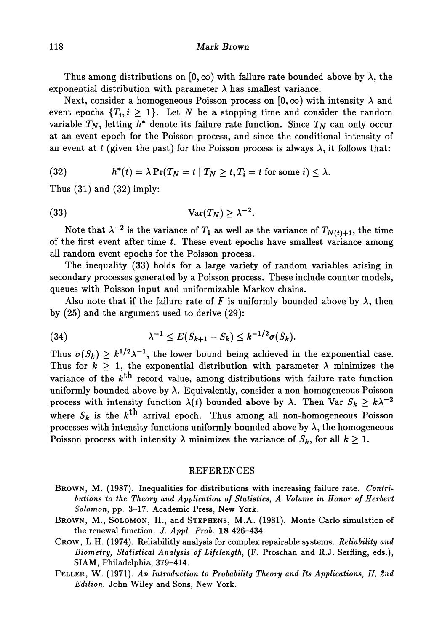Thus among distributions on  $[0, \infty)$  with failure rate bounded above by  $\lambda$ , the exponential distribution with parameter  $\lambda$  has smallest variance.

Next, consider a homogeneous Poisson process on  $[0,\infty)$  with intensity  $\lambda$  and event epochs  $\{T_{\bm{i}},i\,\geq\,1\}.$  Let  $N$  be a stopping time and consider the random variable  $T_N$ , letting  $h^*$  denote its failure rate function. Since  $T_N$  can only occur at an event epoch for the Poisson process, and since the conditional intensity of an event at  $t$  (given the past) for the Poisson process is always  $\lambda$ , it follows that:

(32) 
$$
h^*(t) = \lambda \Pr(T_N = t | T_N \ge t, T_i = t \text{ for some } i) \le \lambda.
$$

Thus  $(31)$  and  $(32)$  imply:

$$
(33) \t\t\t Var(T_N) \geq \lambda^{-2}.
$$

Note that  $\lambda^{-2}$  is the variance of  $T_1$  as well as the variance of  $T_{N(t)+1}$ , the time of the first event after time *t.* These event epochs have smallest variance among all random event epochs for the Poisson process.

The inequality (33) holds for a large variety of random variables arising in secondary processes generated by a Poisson process. These include counter models, queues with Poisson input and uniformizable Markov chains.

Also note that if the failure rate of F is uniformly bounded above by  $\lambda$ , then by (25) and the argument used to derive (29):

(34) 
$$
\lambda^{-1} \le E(S_{k+1} - S_k) \le k^{-1/2} \sigma(S_k).
$$

Thus  $\sigma(S_k) \geq k^{1/2} \lambda^{-1}$ , the lower bound being achieved in the exponential case. Thus for  $k \geq 1$ , the exponential distribution with parameter  $\lambda$  minimizes the variance of the  $k^{\text{th}}$  record value, among distributions with failure rate function uniformly bounded above by  $\lambda$ . Equivalently, consider a non-homogeneous Poisson process with intensity function  $\lambda(t)$  bounded above by  $\lambda$ . Then Var  $S_k \geq k\lambda^{-2}$ where  $S_k$  is the  $k^{\text{th}}$  arrival epoch. Thus among all non-homogeneous Poisson processes with intensity functions uniformly bounded above by  $\lambda$ , the homogeneous Poisson process with intensity  $\lambda$  minimizes the variance of  $S_k$ , for all  $k \geq 1$ .

## REFERENCES

- BROWN, M. (1987). Inequalities for distributions with increasing failure rate. *Contributions to the Theory and Application of Statistics, A Volume in Honor of Herbert Solomon,* pp. 3-17. Academic Press, New York.
- BROWN, M., SOLOMON, H., and STEPHENS, M.A. (1981). Monte Carlo simulation of the renewal function. *J. Appl. Prob.* 18 426-434.
- CROW, L.H. (1974). Reliability analysis for complex repairable systems. *Reliability and Biometry, Statistical Analysis of Lifelength,* (F. Proschan and R.J. Serfling, eds.), SIAM, Philadelphia, 379-414.
- FELLER, W. (1971). *An Introduction to Probability Theory and Its Applications, II, 2nd Edition.* John Wiley and Sons, New York.